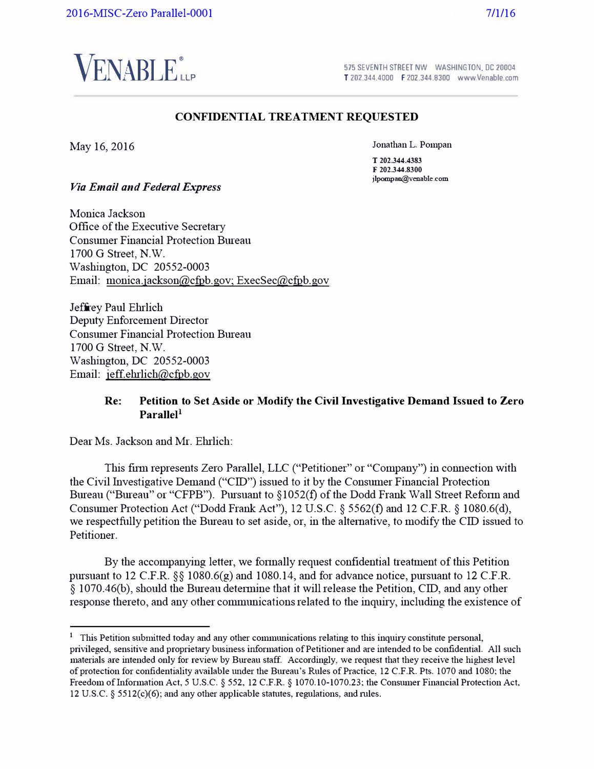

575 SEVENTH STREET NW WASHINGTON. DC 20004 T 202.344.4000 F 202.344.8300 www.Venable.com

#### **CONFIDENTIAL TREATMENT REQUESTED**

May 16, 2016

Jonathan L. Pompan

**T 202.344.4383 F 202.344.8300 jlpompan@venable.com** 

*Via Email and Federal Express* 

Monica Jackson Office of the Executive Secretaiy Consumer Financial Protection Bureau 1700 G Street, N.W. Washington, DC 20552-0003 Email: monica.jackson@cfpb.gov; ExecSec@cfpb.gov

Jeffrey Paul Ehrlich Deputy Enforcement Director Consumer Financial Protection Bureau 1700 G Street, N.W. Washington, DC 20552-0003 Email: jeff.ehrlich@cfpb.gov

#### **Re: Petition to Set Aside or Modify the Civil Investigative Demand Issued to Zero ParalleI<sup>1</sup>**

Dear Ms. Jackson and Mr. Ehrlich:

This firm represents Zero Parallel, LLC ("Petitioner" or "Company") in connection with the Civil Investigative Demand ("CID") issued to it by the Consumer Financial Protection Bureau ("Bureau" or "CFPB"). Pursuant to §1052(f) of the Dodd Frank Wall Street Reform and Consumer Protection Act ("Dodd Frank Act"), 12 U.S.C. § 5562(f) and 12 C.F.R. § 1080.6(d), we respectfully petition the Bureau to set aside, or, in the alternative, to modify the CID issued to Petitioner.

By the accompanying letter, we fonnally request confidential treatment of this Petition pursuant to 12 C.F.R. §§ 1080.6(g) and 1080.14, and for advance notice, pursuant to 12 C.F.R.  $\S$  1070.46(b), should the Bureau determine that it will release the Petition, CID, and any other response thereto, and any other communications related to the inquiry, including the existence of

**<sup>1</sup>**This Petition submitted today and any other communications relating to this inquiry constitute personal, privileged, sensitive and proprietary business information of Petitioner and are intended to be confidential. All such materials are intended only for review by Bureau staff. Accordingly, we request that they receive the highest level of protection for confidentiality available under the Bureau's Rules of Practice, 12 C.F.R. Pts. 1070 and 1080; the Freedom of Information Act, 5 U.S.C. § 552, 12 C.F.R. § 1070.10-1070.23; the Consumer Financial Protection Act, 12 U.S.C. § 5512(c)(6); and any other applicable statutes, regulations, and mies.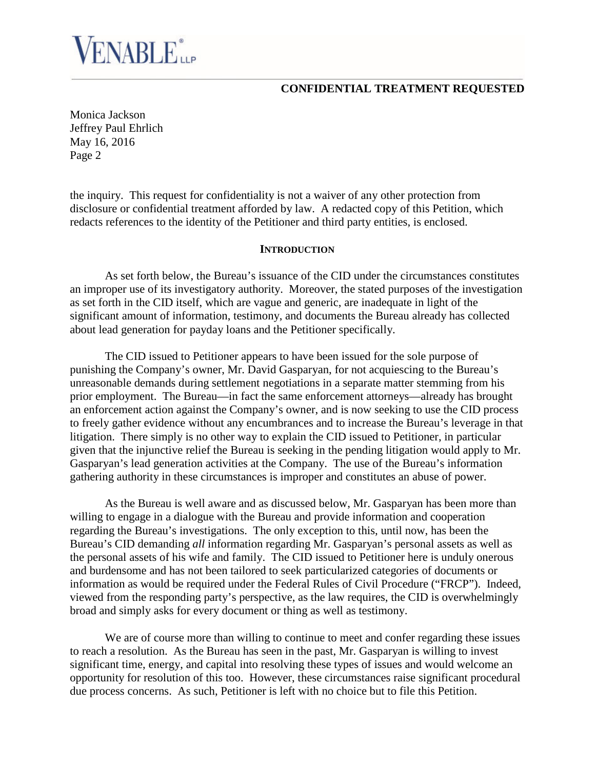Monica Jackson Jeffrey Paul Ehrlich May 16, 2016 Page 2

**ENABLE** *LLP* 

the inquiry. This request for confidentiality is not a waiver of any other protection from disclosure or confidential treatment afforded by law. A redacted copy of this Petition, which redacts references to the identity of the Petitioner and third party entities, is enclosed.

#### **INTRODUCTION**

As set forth below, the Bureau's issuance of the CID under the circumstances constitutes an improper use of its investigatory authority. Moreover, the stated purposes of the investigation as set forth in the CID itself, which are vague and generic, are inadequate in light of the significant amount of information, testimony, and documents the Bureau already has collected about lead generation for payday loans and the Petitioner specifically.

The CID issued to Petitioner appears to have been issued for the sole purpose of punishing the Company's owner, Mr. David Gasparyan, for not acquiescing to the Bureau's unreasonable demands during settlement negotiations in a separate matter stemming from his prior employment. The Bureau—in fact the same enforcement attorneys—already has brought an enforcement action against the Company's owner, and is now seeking to use the CID process to freely gather evidence without any encumbrances and to increase the Bureau's leverage in that litigation. There simply is no other way to explain the CID issued to Petitioner, in particular given that the injunctive relief the Bureau is seeking in the pending litigation would apply to Mr. Gasparyan's lead generation activities at the Company. The use of the Bureau's information gathering authority in these circumstances is improper and constitutes an abuse of power.

As the Bureau is well aware and as discussed below, Mr. Gasparyan has been more than willing to engage in a dialogue with the Bureau and provide information and cooperation regarding the Bureau's investigations. The only exception to this, until now, has been the Bureau's CID demanding *all* information regarding Mr. Gasparyan's personal assets as well as the personal assets of his wife and family. The CID issued to Petitioner here is unduly onerous and burdensome and has not been tailored to seek particularized categories of documents or information as would be required under the Federal Rules of Civil Procedure ("FRCP"). Indeed, viewed from the responding party's perspective, as the law requires, the CID is overwhelmingly broad and simply asks for every document or thing as well as testimony.

We are of course more than willing to continue to meet and confer regarding these issues to reach a resolution. As the Bureau has seen in the past, Mr. Gasparyan is willing to invest significant time, energy, and capital into resolving these types of issues and would welcome an opportunity for resolution of this too. However, these circumstances raise significant procedural due process concerns. As such, Petitioner is left with no choice but to file this Petition.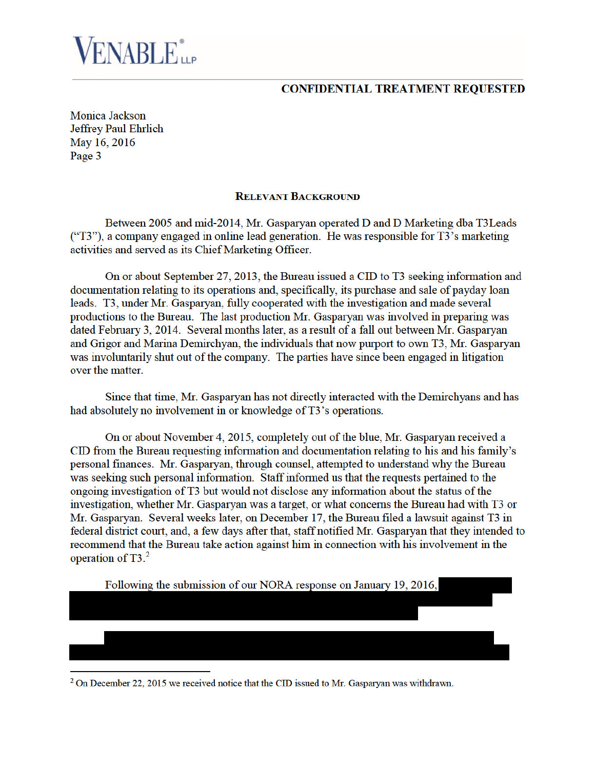**Monica Jackson Jeffrey Paul Ehrlich** May 16, 2016 Page 3

**ENABLE**ire

#### **RELEVANT BACKGROUND**

Between 2005 and mid-2014, Mr. Gasparyan operated D and D Marketing dba T3Leads ("T3"), a company engaged in online lead generation. He was responsible for T3's marketing activities and served as its Chief Marketing Officer.

On or about September 27, 2013, the Bureau issued a CID to T3 seeking information and documentation relating to its operations and, specifically, its purchase and sale of payday loan leads. T3, under Mr. Gasparyan, fully cooperated with the investigation and made several productions to the Bureau. The last production Mr. Gasparyan was involved in preparing was dated February 3, 2014. Several months later, as a result of a fall out between Mr. Gasparyan and Grigor and Marina Demirchyan, the individuals that now purport to own T3, Mr. Gasparyan was involuntarily shut out of the company. The parties have since been engaged in litigation over the matter.

Since that time, Mr. Gasparyan has not directly interacted with the Demirchyans and has had absolutely no involvement in or knowledge of T3's operations.

On or about November 4, 2015, completely out of the blue, Mr. Gasparyan received a CID from the Bureau requesting information and documentation relating to his and his family's personal finances. Mr. Gasparyan, through counsel, attempted to understand why the Bureau was seeking such personal information. Staff informed us that the requests pertained to the ongoing investigation of T3 but would not disclose any information about the status of the investigation, whether Mr. Gasparyan was a target, or what concerns the Bureau had with T3 or Mr. Gasparyan. Several weeks later, on December 17, the Bureau filed a lawsuit against T3 in federal district court, and, a few days after that, staff notified Mr. Gasparyan that they intended to recommend that the Bureau take action against him in connection with his involvement in the operation of  $T3<sup>2</sup>$ 

Following the submission of our NORA response on January 19, 2016,

<sup>&</sup>lt;sup>2</sup> On December 22, 2015 we received notice that the CID issued to Mr. Gasparyan was withdrawn.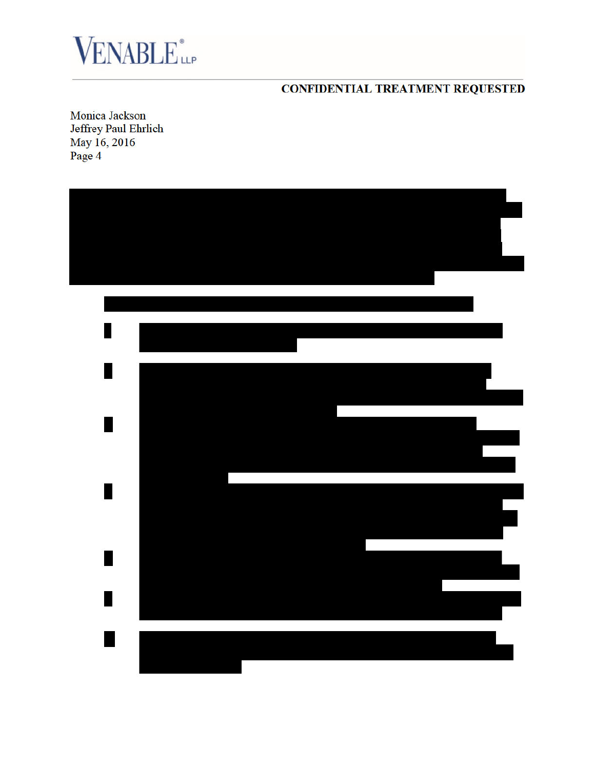

**Monica Jackson Jeffrey Paul Ehrlich** May 16, 2016 Page 4

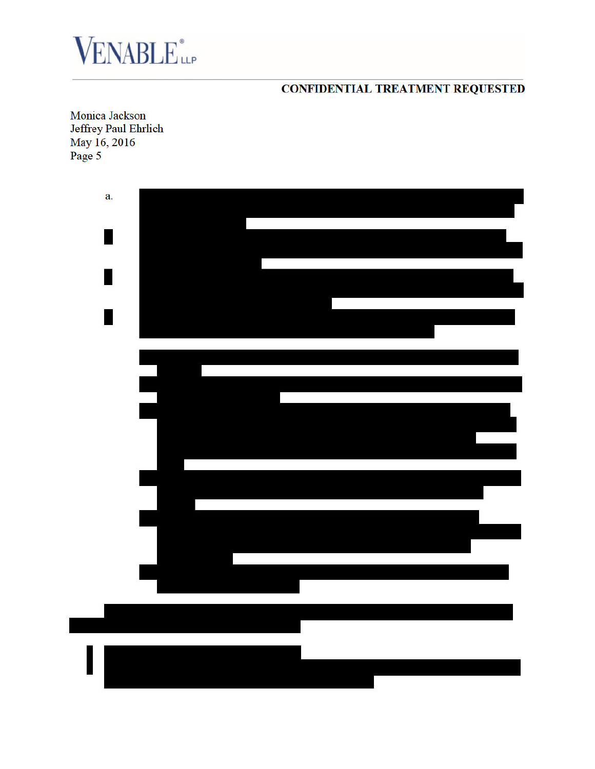

**Monica Jackson Jeffrey Paul Ehrlich** May 16, 2016 Page 5

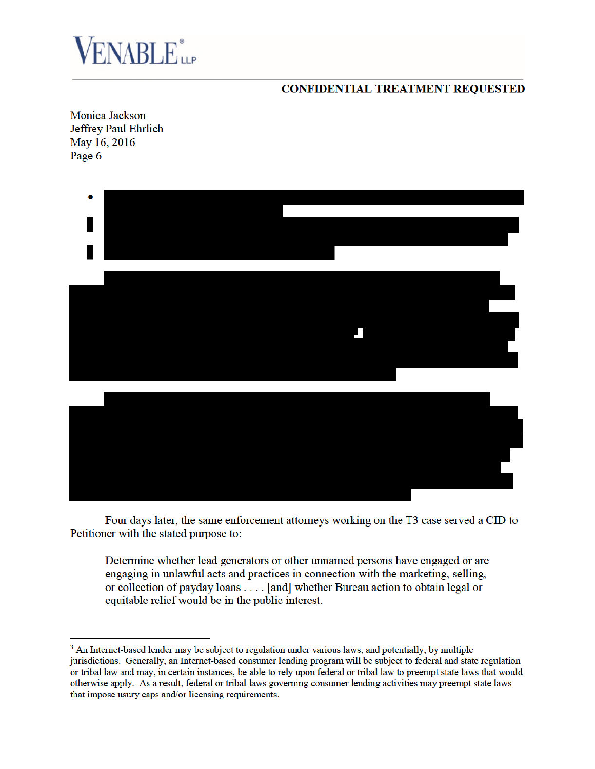

**Monica Jackson Jeffrey Paul Ehrlich** May 16, 2016 Page 6



Four days later, the same enforcement attorneys working on the T3 case served a CID to Petitioner with the stated purpose to:

Determine whether lead generators or other unnamed persons have engaged or are engaging in unlawful acts and practices in connection with the marketing, selling, or collection of payday loans . . . . [and] whether Bureau action to obtain legal or equitable relief would be in the public interest.

<sup>&</sup>lt;sup>3</sup> An Internet-based lender may be subject to regulation under various laws, and potentially, by multiple jurisdictions. Generally, an Internet-based consumer lending program will be subject to federal and state regulation or tribal law and may, in certain instances, be able to rely upon federal or tribal law to preempt state laws that would otherwise apply. As a result, federal or tribal laws governing consumer lending activities may preempt state laws that impose usury caps and/or licensing requirements.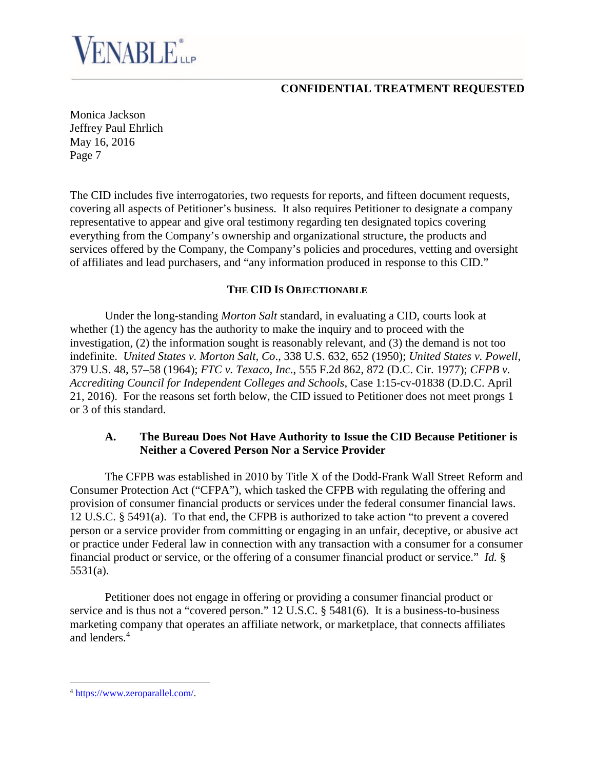# **ENABLE**iLP

## **CONFIDENTIAL TREATMENT REQUESTED**

Monica Jackson Jeffrey Paul Ehrlich May 16, 2016 Page 7

The CID includes five interrogatories, two requests for reports, and fifteen document requests, covering all aspects of Petitioner's business. It also requires Petitioner to designate a company representative to appear and give oral testimony regarding ten designated topics covering everything from the Company's ownership and organizational structure, the products and services offered by the Company, the Company's policies and procedures, vetting and oversight of affiliates and lead purchasers, and "any information produced in response to this CID."

#### **THE CID IS OBJECTIONABLE**

Under the long-standing *Morton Salt* standard, in evaluating a CID, courts look at whether (1) the agency has the authority to make the inquiry and to proceed with the investigation, (2) the information sought is reasonably relevant, and (3) the demand is not too indefinite. *United States v. Morton Salt, Co*., 338 U.S. 632, 652 (1950); *United States v. Powell*, 379 U.S. 48, 57–58 (1964); *FTC v. Texaco, Inc*., 555 F.2d 862, 872 (D.C. Cir. 1977); *CFPB v. Accrediting Council for Independent Colleges and Schools*, Case 1:15-cv-01838 (D.D.C. April 21, 2016). For the reasons set forth below, the CID issued to Petitioner does not meet prongs 1 or 3 of this standard.

### **A. The Bureau Does Not Have Authority to Issue the CID Because Petitioner is Neither a Covered Person Nor a Service Provider**

The CFPB was established in 2010 by Title X of the Dodd-Frank Wall Street Reform and Consumer Protection Act ("CFPA"), which tasked the CFPB with regulating the offering and provision of consumer financial products or services under the federal consumer financial laws. 12 U.S.C. § 5491(a). To that end, the CFPB is authorized to take action "to prevent a covered person or a service provider from committing or engaging in an unfair, deceptive, or abusive act or practice under Federal law in connection with any transaction with a consumer for a consumer financial product or service, or the offering of a consumer financial product or service." *Id.* § 5531(a).

Petitioner does not engage in offering or providing a consumer financial product or service and is thus not a "covered person." 12 U.S.C. § 5481(6). It is a business-to-business marketing company that operates an affiliate network, or marketplace, that connects affiliates and lenders.<sup>4</sup>

<sup>4</sup> https://www.zeroparallel.com/.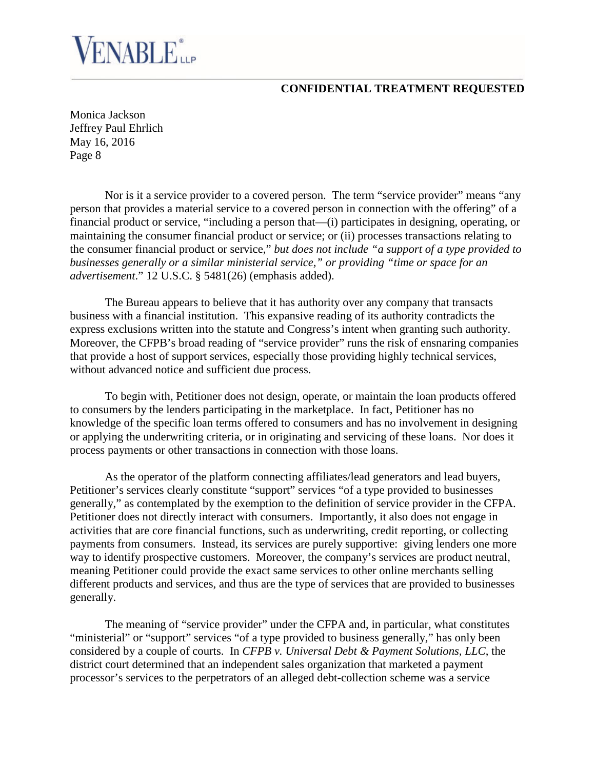Monica Jackson Jeffrey Paul Ehrlich May 16, 2016 Page 8

**ENABLE**<sup>\*</sup>

Nor is it a service provider to a covered person. The term "service provider" means "any person that provides a material service to a covered person in connection with the offering" of a financial product or service, "including a person that—(i) participates in designing, operating, or maintaining the consumer financial product or service; or (ii) processes transactions relating to the consumer financial product or service," *but does not include "a support of a type provided to businesses generally or a similar ministerial service," or providing "time or space for an advertisement*." 12 U.S.C. § 5481(26) (emphasis added).

The Bureau appears to believe that it has authority over any company that transacts business with a financial institution. This expansive reading of its authority contradicts the express exclusions written into the statute and Congress's intent when granting such authority. Moreover, the CFPB's broad reading of "service provider" runs the risk of ensnaring companies that provide a host of support services, especially those providing highly technical services, without advanced notice and sufficient due process.

To begin with, Petitioner does not design, operate, or maintain the loan products offered to consumers by the lenders participating in the marketplace. In fact, Petitioner has no knowledge of the specific loan terms offered to consumers and has no involvement in designing or applying the underwriting criteria, or in originating and servicing of these loans. Nor does it process payments or other transactions in connection with those loans.

As the operator of the platform connecting affiliates/lead generators and lead buyers, Petitioner's services clearly constitute "support" services "of a type provided to businesses generally," as contemplated by the exemption to the definition of service provider in the CFPA. Petitioner does not directly interact with consumers. Importantly, it also does not engage in activities that are core financial functions, such as underwriting, credit reporting, or collecting payments from consumers. Instead, its services are purely supportive: giving lenders one more way to identify prospective customers. Moreover, the company's services are product neutral, meaning Petitioner could provide the exact same services to other online merchants selling different products and services, and thus are the type of services that are provided to businesses generally.

The meaning of "service provider" under the CFPA and, in particular, what constitutes "ministerial" or "support" services "of a type provided to business generally," has only been considered by a couple of courts. In *CFPB v. Universal Debt & Payment Solutions, LLC*, the district court determined that an independent sales organization that marketed a payment processor's services to the perpetrators of an alleged debt-collection scheme was a service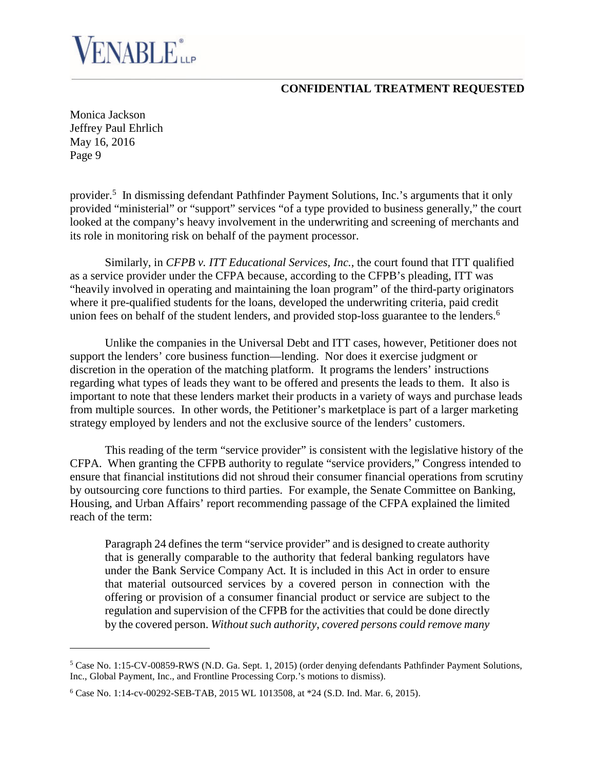Monica Jackson Jeffrey Paul Ehrlich May 16, 2016 Page 9

**ENABLE**ire

provider.<sup>5</sup> In dismissing defendant Pathfinder Payment Solutions, Inc.'s arguments that it only provided "ministerial" or "support" services "of a type provided to business generally," the court looked at the company's heavy involvement in the underwriting and screening of merchants and its role in monitoring risk on behalf of the payment processor.

Similarly, in *CFPB v. ITT Educational Services, Inc.*, the court found that ITT qualified as a service provider under the CFPA because, according to the CFPB's pleading, ITT was "heavily involved in operating and maintaining the loan program" of the third-party originators where it pre-qualified students for the loans, developed the underwriting criteria, paid credit union fees on behalf of the student lenders, and provided stop-loss guarantee to the lenders.<sup>6</sup>

Unlike the companies in the Universal Debt and ITT cases, however, Petitioner does not support the lenders' core business function—lending. Nor does it exercise judgment or discretion in the operation of the matching platform. It programs the lenders' instructions regarding what types of leads they want to be offered and presents the leads to them. It also is important to note that these lenders market their products in a variety of ways and purchase leads from multiple sources. In other words, the Petitioner's marketplace is part of a larger marketing strategy employed by lenders and not the exclusive source of the lenders' customers.

This reading of the term "service provider" is consistent with the legislative history of the CFPA. When granting the CFPB authority to regulate "service providers," Congress intended to ensure that financial institutions did not shroud their consumer financial operations from scrutiny by outsourcing core functions to third parties. For example, the Senate Committee on Banking, Housing, and Urban Affairs' report recommending passage of the CFPA explained the limited reach of the term:

Paragraph 24 defines the term "service provider" and is designed to create authority that is generally comparable to the authority that federal banking regulators have under the Bank Service Company Act*.* It is included in this Act in order to ensure that material outsourced services by a covered person in connection with the offering or provision of a consumer financial product or service are subject to the regulation and supervision of the CFPB for the activities that could be done directly by the covered person. *Without such authority*, *covered persons could remove many*

<sup>5</sup> Case No. 1:15-CV-00859-RWS (N.D. Ga. Sept. 1, 2015) (order denying defendants Pathfinder Payment Solutions, Inc., Global Payment, Inc., and Frontline Processing Corp.'s motions to dismiss).

<sup>6</sup> Case No. 1:14-cv-00292-SEB-TAB, 2015 WL 1013508, at \*24 (S.D. Ind. Mar. 6, 2015).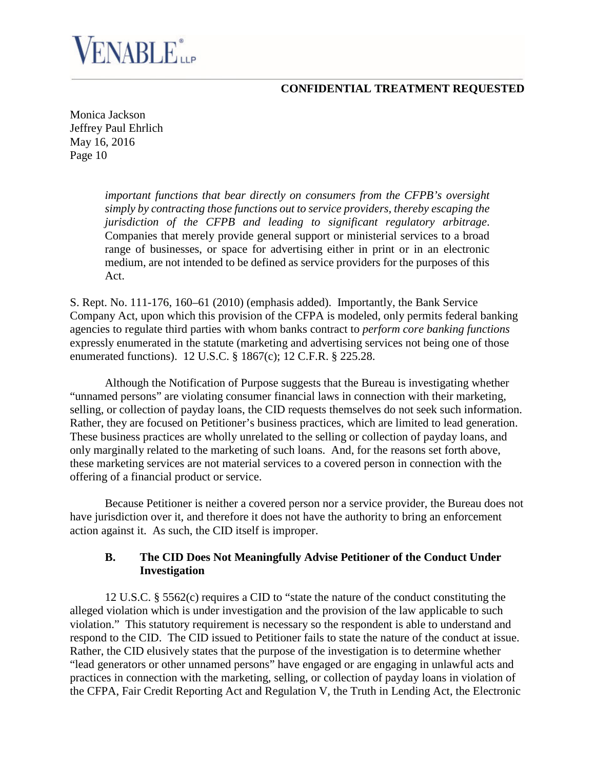Monica Jackson Jeffrey Paul Ehrlich May 16, 2016 Page 10

ENABLE<sup>®</sup>

*important functions that bear directly on consumers from the CFPB's oversight simply by contracting those functions out to service providers, thereby escaping the jurisdiction of the CFPB and leading to significant regulatory arbitrage*. Companies that merely provide general support or ministerial services to a broad range of businesses, or space for advertising either in print or in an electronic medium, are not intended to be defined as service providers for the purposes of this Act.

S. Rept. No. 111-176, 160–61 (2010) (emphasis added). Importantly, the Bank Service Company Act, upon which this provision of the CFPA is modeled, only permits federal banking agencies to regulate third parties with whom banks contract to *perform core banking functions* expressly enumerated in the statute (marketing and advertising services not being one of those enumerated functions). 12 U.S.C. § 1867(c); 12 C.F.R. § 225.28.

Although the Notification of Purpose suggests that the Bureau is investigating whether "unnamed persons" are violating consumer financial laws in connection with their marketing, selling, or collection of payday loans, the CID requests themselves do not seek such information. Rather, they are focused on Petitioner's business practices, which are limited to lead generation. These business practices are wholly unrelated to the selling or collection of payday loans, and only marginally related to the marketing of such loans. And, for the reasons set forth above, these marketing services are not material services to a covered person in connection with the offering of a financial product or service.

Because Petitioner is neither a covered person nor a service provider, the Bureau does not have jurisdiction over it, and therefore it does not have the authority to bring an enforcement action against it. As such, the CID itself is improper.

#### **B. The CID Does Not Meaningfully Advise Petitioner of the Conduct Under Investigation**

12 U.S.C. § 5562(c) requires a CID to "state the nature of the conduct constituting the alleged violation which is under investigation and the provision of the law applicable to such violation." This statutory requirement is necessary so the respondent is able to understand and respond to the CID. The CID issued to Petitioner fails to state the nature of the conduct at issue. Rather, the CID elusively states that the purpose of the investigation is to determine whether "lead generators or other unnamed persons" have engaged or are engaging in unlawful acts and practices in connection with the marketing, selling, or collection of payday loans in violation of the CFPA, Fair Credit Reporting Act and Regulation V, the Truth in Lending Act, the Electronic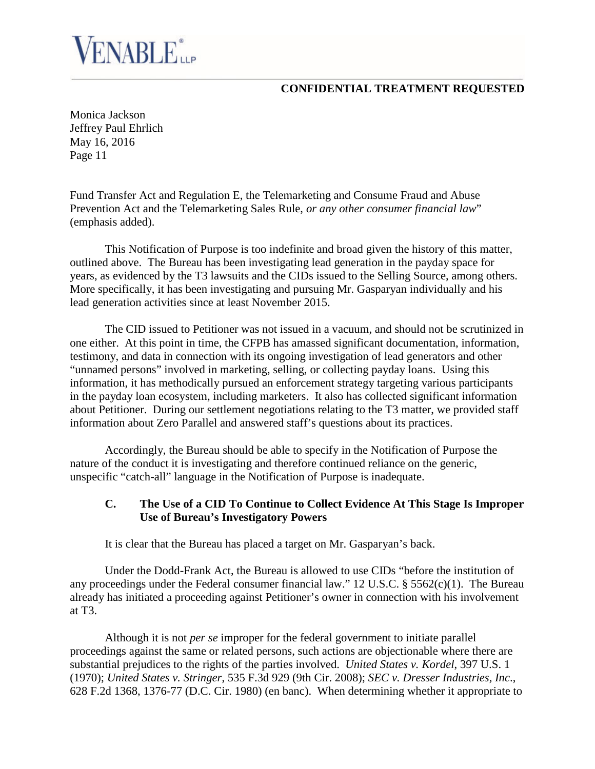Monica Jackson Jeffrey Paul Ehrlich May 16, 2016 Page 11

ENABLE<sup>®</sup>

Fund Transfer Act and Regulation E, the Telemarketing and Consume Fraud and Abuse Prevention Act and the Telemarketing Sales Rule, *or any other consumer financial law*" (emphasis added).

This Notification of Purpose is too indefinite and broad given the history of this matter, outlined above. The Bureau has been investigating lead generation in the payday space for years, as evidenced by the T3 lawsuits and the CIDs issued to the Selling Source, among others. More specifically, it has been investigating and pursuing Mr. Gasparyan individually and his lead generation activities since at least November 2015.

The CID issued to Petitioner was not issued in a vacuum, and should not be scrutinized in one either. At this point in time, the CFPB has amassed significant documentation, information, testimony, and data in connection with its ongoing investigation of lead generators and other "unnamed persons" involved in marketing, selling, or collecting payday loans. Using this information, it has methodically pursued an enforcement strategy targeting various participants in the payday loan ecosystem, including marketers. It also has collected significant information about Petitioner. During our settlement negotiations relating to the T3 matter, we provided staff information about Zero Parallel and answered staff's questions about its practices.

Accordingly, the Bureau should be able to specify in the Notification of Purpose the nature of the conduct it is investigating and therefore continued reliance on the generic, unspecific "catch-all" language in the Notification of Purpose is inadequate.

#### **C. The Use of a CID To Continue to Collect Evidence At This Stage Is Improper Use of Bureau's Investigatory Powers**

It is clear that the Bureau has placed a target on Mr. Gasparyan's back.

Under the Dodd-Frank Act, the Bureau is allowed to use CIDs "before the institution of any proceedings under the Federal consumer financial law." 12 U.S.C. § 5562(c)(1). The Bureau already has initiated a proceeding against Petitioner's owner in connection with his involvement at T3.

Although it is not *per se* improper for the federal government to initiate parallel proceedings against the same or related persons, such actions are objectionable where there are substantial prejudices to the rights of the parties involved. *United States v. Kordel*, 397 U.S. 1 (1970); *United States v. Stringer*, 535 F.3d 929 (9th Cir. 2008); *SEC v. Dresser Industries, Inc*., 628 F.2d 1368, 1376-77 (D.C. Cir. 1980) (en banc). When determining whether it appropriate to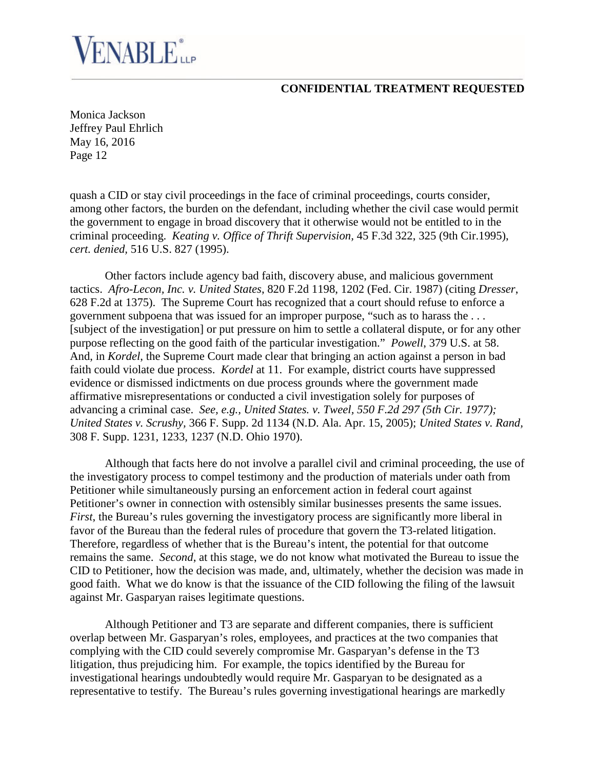# **VENABLE**iLP

### **CONFIDENTIAL TREATMENT REQUESTED**

Monica Jackson Jeffrey Paul Ehrlich May 16, 2016 Page 12

quash a CID or stay civil proceedings in the face of criminal proceedings, courts consider, among other factors, the burden on the defendant, including whether the civil case would permit the government to engage in broad discovery that it otherwise would not be entitled to in the criminal proceeding. *Keating v. Office of Thrift Supervision,* 45 F.3d 322, 325 (9th Cir.1995), *cert. denied,* 516 U.S. 827 (1995).

Other factors include agency bad faith, discovery abuse, and malicious government tactics. *Afro-Lecon, Inc. v. United States*, 820 F.2d 1198, 1202 (Fed. Cir. 1987) (citing *Dresser*, 628 F.2d at 1375). The Supreme Court has recognized that a court should refuse to enforce a government subpoena that was issued for an improper purpose, "such as to harass the . . . [subject of the investigation] or put pressure on him to settle a collateral dispute, or for any other purpose reflecting on the good faith of the particular investigation." *Powell*, 379 U.S. at 58. And, in *Kordel*, the Supreme Court made clear that bringing an action against a person in bad faith could violate due process. *Kordel* at 11. For example, district courts have suppressed evidence or dismissed indictments on due process grounds where the government made affirmative misrepresentations or conducted a civil investigation solely for purposes of advancing a criminal case. *See, e.g., United States. v. Tweel, 550 F.2d 297 (5th Cir. 1977); United States v. Scrushy,* 366 F. Supp. 2d 1134 (N.D. Ala. Apr. 15, 2005); *United States v. Rand,* 308 F. Supp. 1231, 1233, 1237 (N.D. Ohio 1970).

Although that facts here do not involve a parallel civil and criminal proceeding, the use of the investigatory process to compel testimony and the production of materials under oath from Petitioner while simultaneously pursing an enforcement action in federal court against Petitioner's owner in connection with ostensibly similar businesses presents the same issues. *First*, the Bureau's rules governing the investigatory process are significantly more liberal in favor of the Bureau than the federal rules of procedure that govern the T3-related litigation. Therefore, regardless of whether that is the Bureau's intent, the potential for that outcome remains the same. *Second*, at this stage, we do not know what motivated the Bureau to issue the CID to Petitioner, how the decision was made, and, ultimately, whether the decision was made in good faith. What we do know is that the issuance of the CID following the filing of the lawsuit against Mr. Gasparyan raises legitimate questions.

Although Petitioner and T3 are separate and different companies, there is sufficient overlap between Mr. Gasparyan's roles, employees, and practices at the two companies that complying with the CID could severely compromise Mr. Gasparyan's defense in the T3 litigation, thus prejudicing him. For example, the topics identified by the Bureau for investigational hearings undoubtedly would require Mr. Gasparyan to be designated as a representative to testify. The Bureau's rules governing investigational hearings are markedly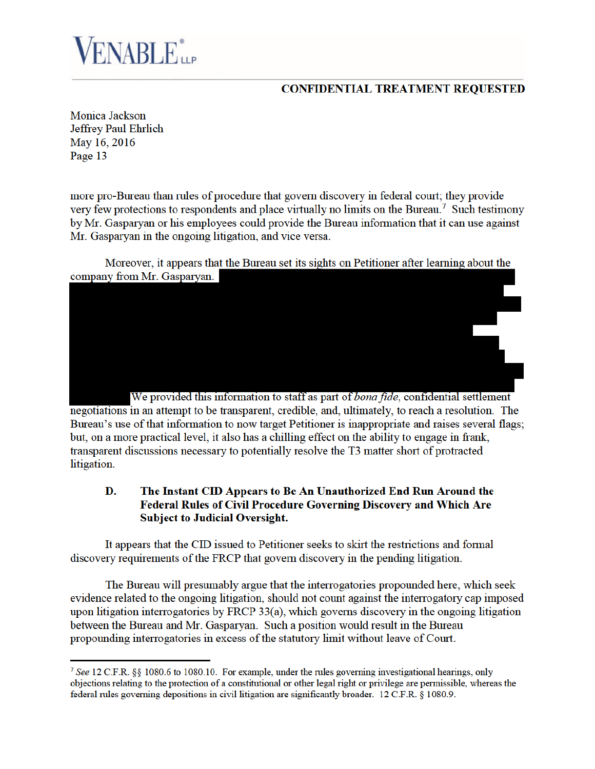# **FNABLE** *LLP*

## **CONFIDENTIAL TREATMENT REQUESTED**

**Monica Jackson Jeffrey Paul Ehrlich** May 16, 2016 Page 13

more pro-Bureau than rules of procedure that govern discovery in federal court; they provide very few protections to respondents and place virtually no limits on the Bureau.<sup>7</sup> Such testimony by Mr. Gasparyan or his employees could provide the Bureau information that it can use against Mr. Gasparyan in the ongoing litigation, and vice versa.

Moreover, it appears that the Bureau set its sights on Petitioner after learning about the company from Mr. Gasparyan.

We provided this information to staff as part of *bona fide*, confidential settlement negotiations in an attempt to be transparent, credible, and, ultimately, to reach a resolution. The Bureau's use of that information to now target Petitioner is inappropriate and raises several flags; but, on a more practical level, it also has a chilling effect on the ability to engage in frank, transparent discussions necessary to potentially resolve the T3 matter short of protracted litigation.

#### D. The Instant CID Appears to Be An Unauthorized End Run Around the **Federal Rules of Civil Procedure Governing Discovery and Which Are Subject to Judicial Oversight.**

It appears that the CID issued to Petitioner seeks to skirt the restrictions and formal discovery requirements of the FRCP that govern discovery in the pending litigation.

The Bureau will presumably argue that the interrogatories propounded here, which seek evidence related to the ongoing litigation, should not count against the interrogatory cap imposed upon litigation interrogatories by FRCP  $33(a)$ , which governs discovery in the ongoing litigation between the Bureau and Mr. Gasparyan. Such a position would result in the Bureau propounding interrogatories in excess of the statutory limit without leave of Court.

<sup>&</sup>lt;sup>7</sup> See 12 C.F.R. §§ 1080.6 to 1080.10. For example, under the rules governing investigational hearings, only objections relating to the protection of a constitutional or other legal right or privilege are permissible, whereas the federal rules governing depositions in civil litigation are significantly broader. 12 C.F.R. § 1080.9.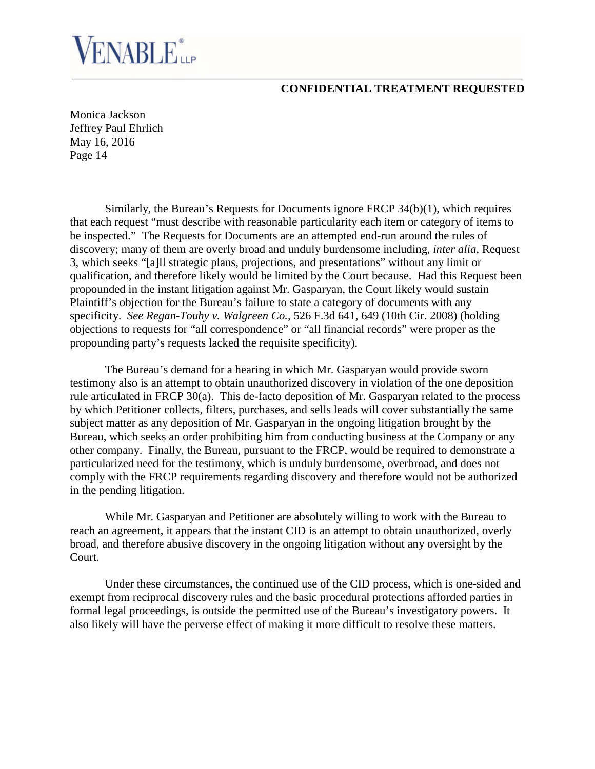Monica Jackson Jeffrey Paul Ehrlich May 16, 2016 Page 14

ENABLE<sup>®</sup>

Similarly, the Bureau's Requests for Documents ignore FRCP 34(b)(1), which requires that each request "must describe with reasonable particularity each item or category of items to be inspected." The Requests for Documents are an attempted end-run around the rules of discovery; many of them are overly broad and unduly burdensome including, *inter alia*, Request 3, which seeks "[a]ll strategic plans, projections, and presentations" without any limit or qualification, and therefore likely would be limited by the Court because. Had this Request been propounded in the instant litigation against Mr. Gasparyan, the Court likely would sustain Plaintiff's objection for the Bureau's failure to state a category of documents with any specificity. *See Regan-Touhy v. Walgreen Co.*, 526 F.3d 641, 649 (10th Cir. 2008) (holding objections to requests for "all correspondence" or "all financial records" were proper as the propounding party's requests lacked the requisite specificity).

The Bureau's demand for a hearing in which Mr. Gasparyan would provide sworn testimony also is an attempt to obtain unauthorized discovery in violation of the one deposition rule articulated in FRCP 30(a). This de-facto deposition of Mr. Gasparyan related to the process by which Petitioner collects, filters, purchases, and sells leads will cover substantially the same subject matter as any deposition of Mr. Gasparyan in the ongoing litigation brought by the Bureau, which seeks an order prohibiting him from conducting business at the Company or any other company. Finally, the Bureau, pursuant to the FRCP, would be required to demonstrate a particularized need for the testimony, which is unduly burdensome, overbroad, and does not comply with the FRCP requirements regarding discovery and therefore would not be authorized in the pending litigation.

While Mr. Gasparyan and Petitioner are absolutely willing to work with the Bureau to reach an agreement, it appears that the instant CID is an attempt to obtain unauthorized, overly broad, and therefore abusive discovery in the ongoing litigation without any oversight by the Court.

Under these circumstances, the continued use of the CID process, which is one-sided and exempt from reciprocal discovery rules and the basic procedural protections afforded parties in formal legal proceedings, is outside the permitted use of the Bureau's investigatory powers. It also likely will have the perverse effect of making it more difficult to resolve these matters.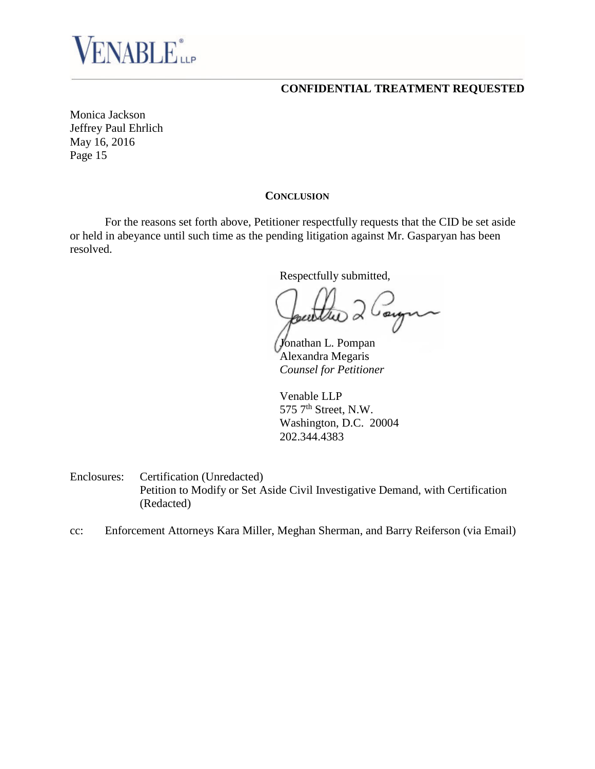

Monica Jackson Jeffrey Paul Ehrlich May 16, 2016 Page 15

#### **CONCLUSION**

For the reasons set forth above, Petitioner respectfully requests that the CID be set aside or held in abeyance until such time as the pending litigation against Mr. Gasparyan has been resolved.

Respectfully submitted,

Cayna ) d

Jonathan L. Pompan Alexandra Megaris *Counsel for Petitioner*

Venable LLP 575  $7<sup>th</sup>$  Street, N.W. Washington, D.C. 20004 202.344.4383

Enclosures: Certification (Unredacted) Petition to Modify or Set Aside Civil Investigative Demand, with Certification (Redacted)

cc: Enforcement Attorneys Kara Miller, Meghan Sherman, and Barry Reiferson (via Email)